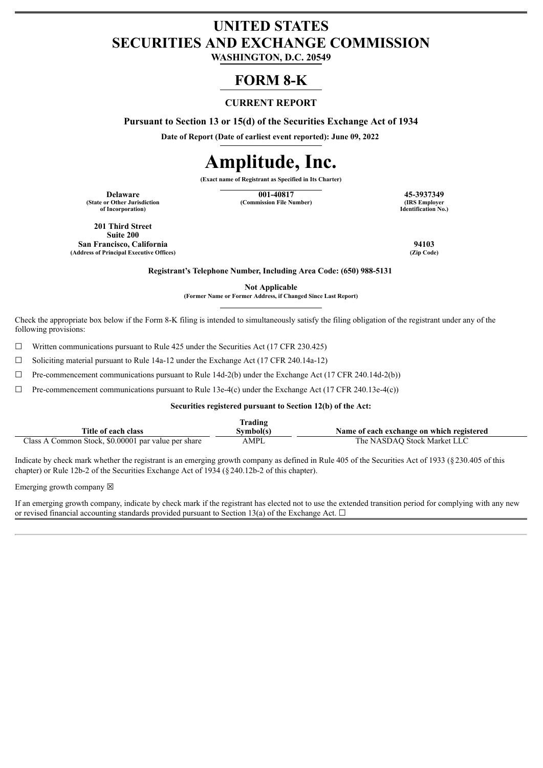## **UNITED STATES SECURITIES AND EXCHANGE COMMISSION**

**WASHINGTON, D.C. 20549**

### **FORM 8-K**

#### **CURRENT REPORT**

**Pursuant to Section 13 or 15(d) of the Securities Exchange Act of 1934**

**Date of Report (Date of earliest event reported): June 09, 2022**

# **Amplitude, Inc.**

**(Exact name of Registrant as Specified in Its Charter)**

**(State or Other Jurisdiction of Incorporation)**

**Delaware 15-3937349**<br> **140817 45-3937349**<br> **140817 15-3937349**<br> **145-3937349**<br> **145-3937349 (Commission File Number)** 

**Identification No.)**

**201 Third Street Suite 200 San Francisco, California 94103 (Address of Principal Executive Offices)** 

**Registrant's Telephone Number, Including Area Code: (650) 988-5131**

**Not Applicable**

**(Former Name or Former Address, if Changed Since Last Report)**

Check the appropriate box below if the Form 8-K filing is intended to simultaneously satisfy the filing obligation of the registrant under any of the following provisions:

☐ Written communications pursuant to Rule 425 under the Securities Act (17 CFR 230.425)

 $\Box$  Soliciting material pursuant to Rule 14a-12 under the Exchange Act (17 CFR 240.14a-12)

 $\Box$  Pre-commencement communications pursuant to Rule 14d-2(b) under the Exchange Act (17 CFR 240.14d-2(b))

 $\Box$  Pre-commencement communications pursuant to Rule 13e-4(c) under the Exchange Act (17 CFR 240.13e-4(c))

#### **Securities registered pursuant to Section 12(b) of the Act:**

| lrading                                                |          |                                           |  |  |  |
|--------------------------------------------------------|----------|-------------------------------------------|--|--|--|
| Title of each class                                    | svmbol(s | Name of each exchange on which registered |  |  |  |
| Common Stock, \$0,00001 par value per share<br>Class A | AMPL     | The NASDAO Stock Market LLC               |  |  |  |

Indicate by check mark whether the registrant is an emerging growth company as defined in Rule 405 of the Securities Act of 1933 (§230.405 of this chapter) or Rule 12b-2 of the Securities Exchange Act of 1934 (§240.12b-2 of this chapter).

Emerging growth company  $\boxtimes$ 

If an emerging growth company, indicate by check mark if the registrant has elected not to use the extended transition period for complying with any new or revised financial accounting standards provided pursuant to Section 13(a) of the Exchange Act.  $\Box$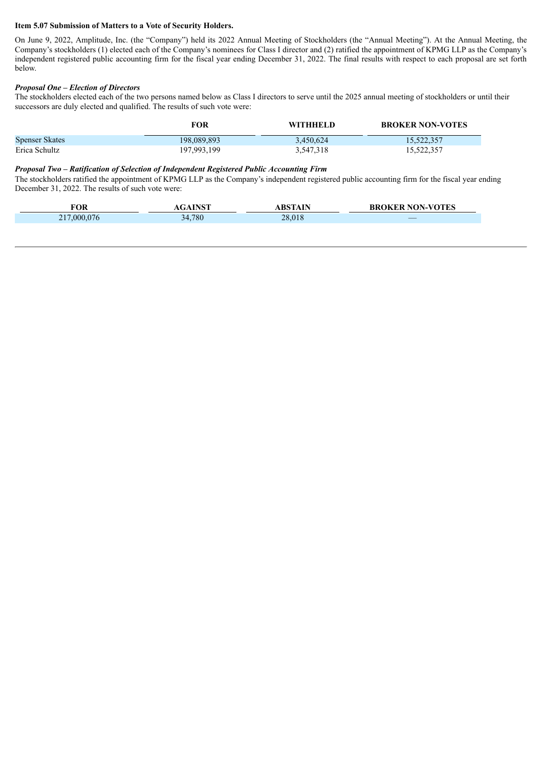#### **Item 5.07 Submission of Matters to a Vote of Security Holders.**

On June 9, 2022, Amplitude, Inc. (the "Company") held its 2022 Annual Meeting of Stockholders (the "Annual Meeting"). At the Annual Meeting, the Company's stockholders (1) elected each of the Company's nominees for Class I director and (2) ratified the appointment of KPMG LLP as the Company's independent registered public accounting firm for the fiscal year ending December 31, 2022. The final results with respect to each proposal are set forth below.

#### *Proposal One – Election of Directors*

The stockholders elected each of the two persons named below as Class I directors to serve until the 2025 annual meeting of stockholders or until their successors are duly elected and qualified. The results of such vote were:

|                       | FOR         | <b>WITHHELD</b> | <b>BROKER NON-VOTES</b> |
|-----------------------|-------------|-----------------|-------------------------|
| <b>Spenser Skates</b> | 198,089,893 | 3.450.624       | 15,522,357              |
| Erica Schultz         | 197,993,199 | 3,547,318       | 15,522,357              |

#### *Proposal Two – Ratification of Selection of Independent Registered Public Accounting Firm*

The stockholders ratified the appointment of KPMG LLP as the Company's independent registered public accounting firm for the fiscal year ending December 31, 2022. The results of such vote were:

| FOR              | <b>INCT</b> | <b>RSTAIN</b> | <b>OKER NON-VOTES</b><br>BROKER |
|------------------|-------------|---------------|---------------------------------|
| 00007<br>$\prod$ | 34,780      | 28,018        | $\overline{\phantom{a}}$        |